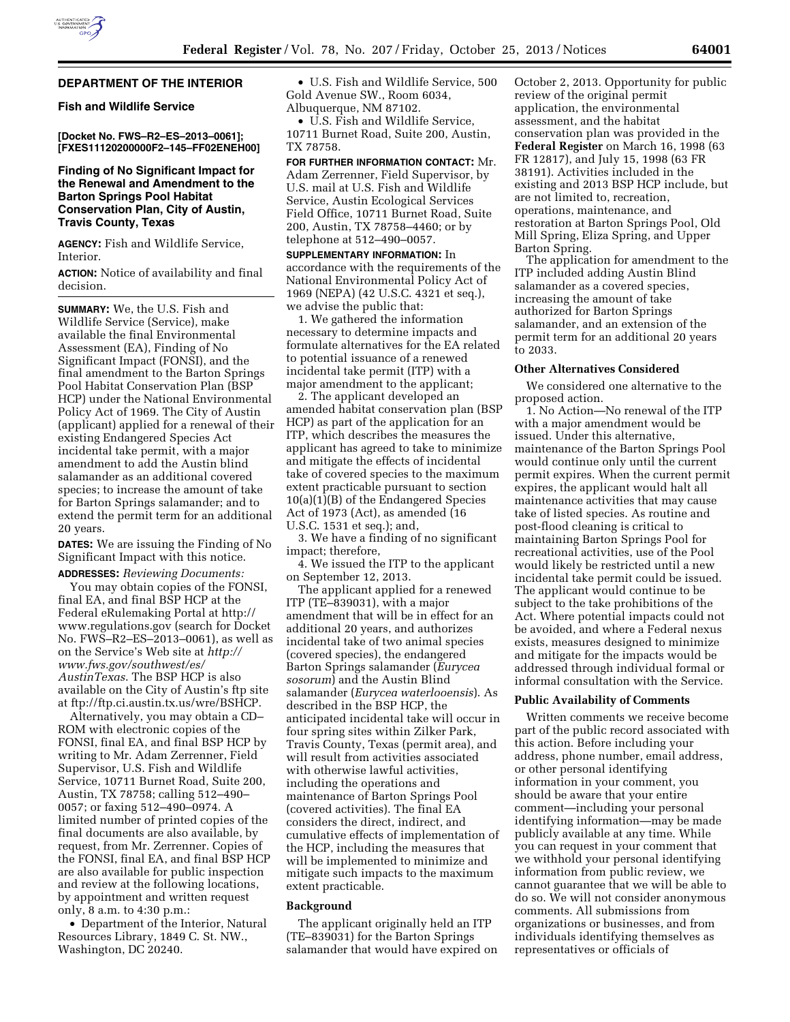## **DEPARTMENT OF THE INTERIOR**

## **Fish and Wildlife Service**

**[Docket No. FWS–R2–ES–2013–0061]; [FXES11120200000F2–145–FF02ENEH00]** 

# **Finding of No Significant Impact for the Renewal and Amendment to the Barton Springs Pool Habitat Conservation Plan, City of Austin, Travis County, Texas**

**AGENCY:** Fish and Wildlife Service, Interior.

**ACTION:** Notice of availability and final decision.

**SUMMARY:** We, the U.S. Fish and Wildlife Service (Service), make available the final Environmental Assessment (EA), Finding of No Significant Impact (FONSI), and the final amendment to the Barton Springs Pool Habitat Conservation Plan (BSP HCP) under the National Environmental Policy Act of 1969. The City of Austin (applicant) applied for a renewal of their existing Endangered Species Act incidental take permit, with a major amendment to add the Austin blind salamander as an additional covered species; to increase the amount of take for Barton Springs salamander; and to extend the permit term for an additional 20 years.

**DATES:** We are issuing the Finding of No Significant Impact with this notice.

**ADDRESSES:** *Reviewing Documents:*  You may obtain copies of the FONSI, final EA, and final BSP HCP at the Federal eRulemaking Portal at [http://](http://www.regulations.gov) [www.regulations.gov](http://www.regulations.gov) (search for Docket No. FWS–R2–ES–2013–0061), as well as on the Service's Web site at *[http://](http://www.fws.gov/southwest/es/AustinTexas) [www.fws.gov/southwest/es/](http://www.fws.gov/southwest/es/AustinTexas)  [AustinTexas](http://www.fws.gov/southwest/es/AustinTexas)*. The BSP HCP is also available on the City of Austin's ftp site at ftp://ftp.ci.austin.tx.us/wre/BSHCP.

Alternatively, you may obtain a CD– ROM with electronic copies of the FONSI, final EA, and final BSP HCP by writing to Mr. Adam Zerrenner, Field Supervisor, U.S. Fish and Wildlife Service, 10711 Burnet Road, Suite 200, Austin, TX 78758; calling 512–490– 0057; or faxing 512–490–0974. A limited number of printed copies of the final documents are also available, by request, from Mr. Zerrenner. Copies of the FONSI, final EA, and final BSP HCP are also available for public inspection and review at the following locations, by appointment and written request only, 8 a.m. to 4:30 p.m.:

• Department of the Interior, Natural Resources Library, 1849 C. St. NW., Washington, DC 20240.

• U.S. Fish and Wildlife Service, 500 Gold Avenue SW., Room 6034, Albuquerque, NM 87102.

• U.S. Fish and Wildlife Service, 10711 Burnet Road, Suite 200, Austin, TX 78758.

**FOR FURTHER INFORMATION CONTACT:** Mr. Adam Zerrenner, Field Supervisor, by U.S. mail at U.S. Fish and Wildlife Service, Austin Ecological Services Field Office, 10711 Burnet Road, Suite 200, Austin, TX 78758–4460; or by telephone at 512–490–0057.

**SUPPLEMENTARY INFORMATION:** In accordance with the requirements of the National Environmental Policy Act of 1969 (NEPA) (42 U.S.C. 4321 et seq.), we advise the public that:

1. We gathered the information necessary to determine impacts and formulate alternatives for the EA related to potential issuance of a renewed incidental take permit (ITP) with a major amendment to the applicant;

2. The applicant developed an amended habitat conservation plan (BSP HCP) as part of the application for an ITP, which describes the measures the applicant has agreed to take to minimize and mitigate the effects of incidental take of covered species to the maximum extent practicable pursuant to section 10(a)(1)(B) of the Endangered Species Act of 1973 (Act), as amended (16 U.S.C. 1531 et seq.); and,

3. We have a finding of no significant impact; therefore,

4. We issued the ITP to the applicant on September 12, 2013.

The applicant applied for a renewed ITP (TE–839031), with a major amendment that will be in effect for an additional 20 years, and authorizes incidental take of two animal species (covered species), the endangered Barton Springs salamander (*Eurycea sosorum*) and the Austin Blind salamander (*Eurycea waterlooensis*). As described in the BSP HCP, the anticipated incidental take will occur in four spring sites within Zilker Park, Travis County, Texas (permit area), and will result from activities associated with otherwise lawful activities. including the operations and maintenance of Barton Springs Pool (covered activities). The final EA considers the direct, indirect, and cumulative effects of implementation of the HCP, including the measures that will be implemented to minimize and mitigate such impacts to the maximum extent practicable.

## **Background**

The applicant originally held an ITP (TE–839031) for the Barton Springs salamander that would have expired on

October 2, 2013. Opportunity for public review of the original permit application, the environmental assessment, and the habitat conservation plan was provided in the **Federal Register** on March 16, 1998 (63 FR 12817), and July 15, 1998 (63 FR 38191). Activities included in the existing and 2013 BSP HCP include, but are not limited to, recreation, operations, maintenance, and restoration at Barton Springs Pool, Old Mill Spring, Eliza Spring, and Upper Barton Spring.

The application for amendment to the ITP included adding Austin Blind salamander as a covered species, increasing the amount of take authorized for Barton Springs salamander, and an extension of the permit term for an additional 20 years to 2033.

## **Other Alternatives Considered**

We considered one alternative to the proposed action.

1. No Action—No renewal of the ITP with a major amendment would be issued. Under this alternative, maintenance of the Barton Springs Pool would continue only until the current permit expires. When the current permit expires, the applicant would halt all maintenance activities that may cause take of listed species. As routine and post-flood cleaning is critical to maintaining Barton Springs Pool for recreational activities, use of the Pool would likely be restricted until a new incidental take permit could be issued. The applicant would continue to be subject to the take prohibitions of the Act. Where potential impacts could not be avoided, and where a Federal nexus exists, measures designed to minimize and mitigate for the impacts would be addressed through individual formal or informal consultation with the Service.

### **Public Availability of Comments**

Written comments we receive become part of the public record associated with this action. Before including your address, phone number, email address, or other personal identifying information in your comment, you should be aware that your entire comment—including your personal identifying information—may be made publicly available at any time. While you can request in your comment that we withhold your personal identifying information from public review, we cannot guarantee that we will be able to do so. We will not consider anonymous comments. All submissions from organizations or businesses, and from individuals identifying themselves as representatives or officials of